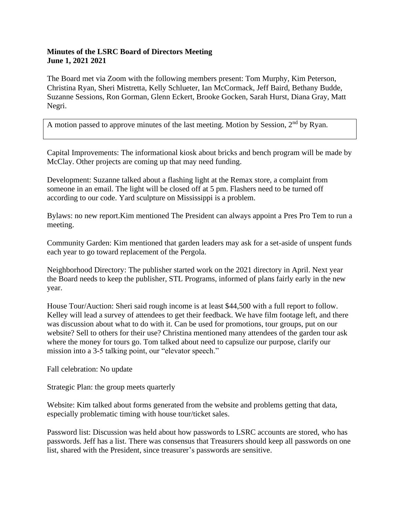## **Minutes of the LSRC Board of Directors Meeting June 1, 2021 2021**

The Board met via Zoom with the following members present: Tom Murphy, Kim Peterson, Christina Ryan, Sheri Mistretta, Kelly Schlueter, Ian McCormack, Jeff Baird, Bethany Budde, Suzanne Sessions, Ron Gorman, Glenn Eckert, Brooke Gocken, Sarah Hurst, Diana Gray, Matt Negri.

A motion passed to approve minutes of the last meeting. Motion by Session,  $2<sup>nd</sup>$  by Ryan.

Capital Improvements: The informational kiosk about bricks and bench program will be made by McClay. Other projects are coming up that may need funding.

Development: Suzanne talked about a flashing light at the Remax store, a complaint from someone in an email. The light will be closed off at 5 pm. Flashers need to be turned off according to our code. Yard sculpture on Mississippi is a problem.

Bylaws: no new report.Kim mentioned The President can always appoint a Pres Pro Tem to run a meeting.

Community Garden: Kim mentioned that garden leaders may ask for a set-aside of unspent funds each year to go toward replacement of the Pergola.

Neighborhood Directory: The publisher started work on the 2021 directory in April. Next year the Board needs to keep the publisher, STL Programs, informed of plans fairly early in the new year.

House Tour/Auction: Sheri said rough income is at least \$44,500 with a full report to follow. Kelley will lead a survey of attendees to get their feedback. We have film footage left, and there was discussion about what to do with it. Can be used for promotions, tour groups, put on our website? Sell to others for their use? Christina mentioned many attendees of the garden tour ask where the money for tours go. Tom talked about need to capsulize our purpose, clarify our mission into a 3-5 talking point, our "elevator speech."

Fall celebration: No update

Strategic Plan: the group meets quarterly

Website: Kim talked about forms generated from the website and problems getting that data, especially problematic timing with house tour/ticket sales.

Password list: Discussion was held about how passwords to LSRC accounts are stored, who has passwords. Jeff has a list. There was consensus that Treasurers should keep all passwords on one list, shared with the President, since treasurer's passwords are sensitive.